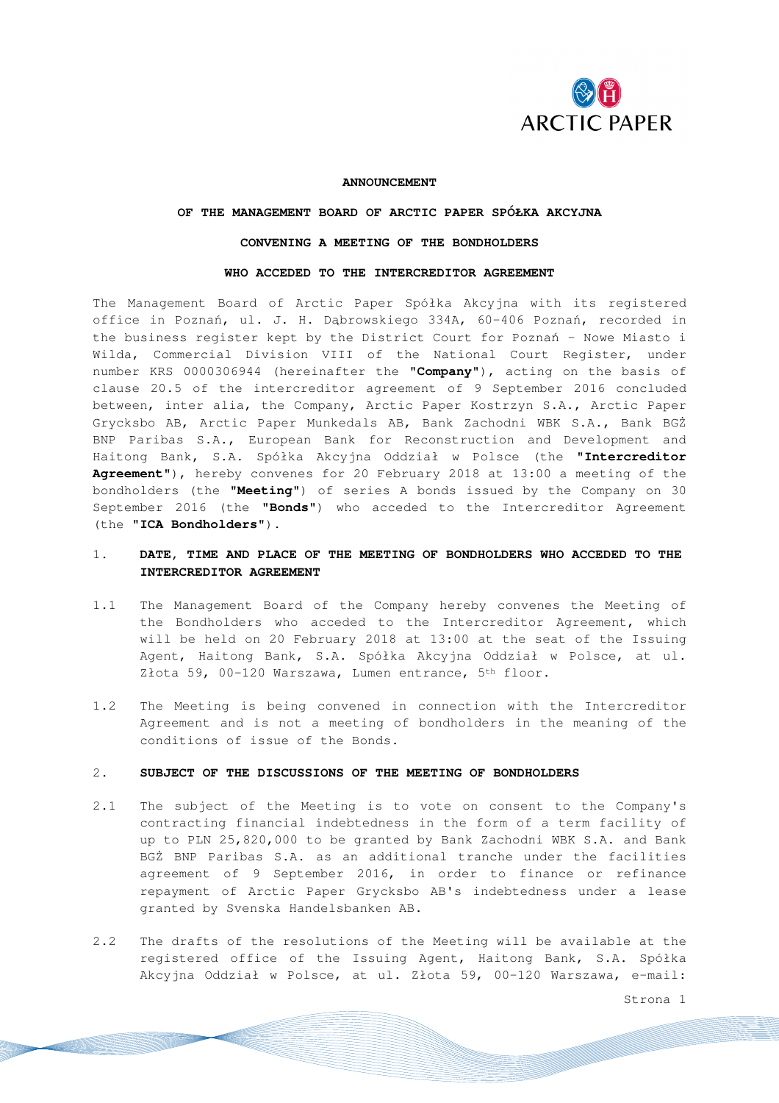

### **ANNOUNCEMENT**

# **OF THE MANAGEMENT BOARD OF ARCTIC PAPER SPÓŁKA AKCYJNA**

## **CONVENING A MEETING OF THE BONDHOLDERS**

## **WHO ACCEDED TO THE INTERCREDITOR AGREEMENT**

The Management Board of Arctic Paper Spółka Akcyjna with its registered office in Poznań, ul. J. H. Dąbrowskiego 334A, 60-406 Poznań, recorded in the business register kept by the District Court for Poznań – Nowe Miasto i Wilda, Commercial Division VIII of the National Court Register, under number KRS 0000306944 (hereinafter the "**Company**"), acting on the basis of clause 20.5 of the intercreditor agreement of 9 September 2016 concluded between, inter alia, the Company, Arctic Paper Kostrzyn S.A., Arctic Paper Grycksbo AB, Arctic Paper Munkedals AB, Bank Zachodni WBK S.A., Bank BGŻ BNP Paribas S.A., European Bank for Reconstruction and Development and Haitong Bank, S.A. Spółka Akcyjna Oddział w Polsce (the "**Intercreditor Agreement**"), hereby convenes for 20 February 2018 at 13:00 a meeting of the bondholders (the "**Meeting**") of series A bonds issued by the Company on 30 September 2016 (the "**Bonds**") who acceded to the Intercreditor Agreement (the "**ICA Bondholders**").

# 1. **DATE, TIME AND PLACE OF THE MEETING OF BONDHOLDERS WHO ACCEDED TO THE INTERCREDITOR AGREEMENT**

- 1.1 The Management Board of the Company hereby convenes the Meeting of the Bondholders who acceded to the Intercreditor Agreement, which will be held on 20 February 2018 at 13:00 at the seat of the Issuing Agent, Haitong Bank, S.A. Spółka Akcyjna Oddział w Polsce, at ul. Złota 59, 00-120 Warszawa, Lumen entrance, 5<sup>th</sup> floor.
- 1.2 The Meeting is being convened in connection with the Intercreditor Agreement and is not a meeting of bondholders in the meaning of the conditions of issue of the Bonds.

## 2. **SUBJECT OF THE DISCUSSIONS OF THE MEETING OF BONDHOLDERS**

- 2.1 The subject of the Meeting is to vote on consent to the Company's contracting financial indebtedness in the form of a term facility of up to PLN 25,820,000 to be granted by Bank Zachodni WBK S.A. and Bank BGŻ BNP Paribas S.A. as an additional tranche under the facilities agreement of 9 September 2016, in order to finance or refinance repayment of Arctic Paper Grycksbo AB's indebtedness under a lease granted by Svenska Handelsbanken AB.
- 2.2 The drafts of the resolutions of the Meeting will be available at the registered office of the Issuing Agent, Haitong Bank, S.A. Spółka Akcyjna Oddział w Polsce, at ul. Złota 59, 00-120 Warszawa, e-mail:

Strona 1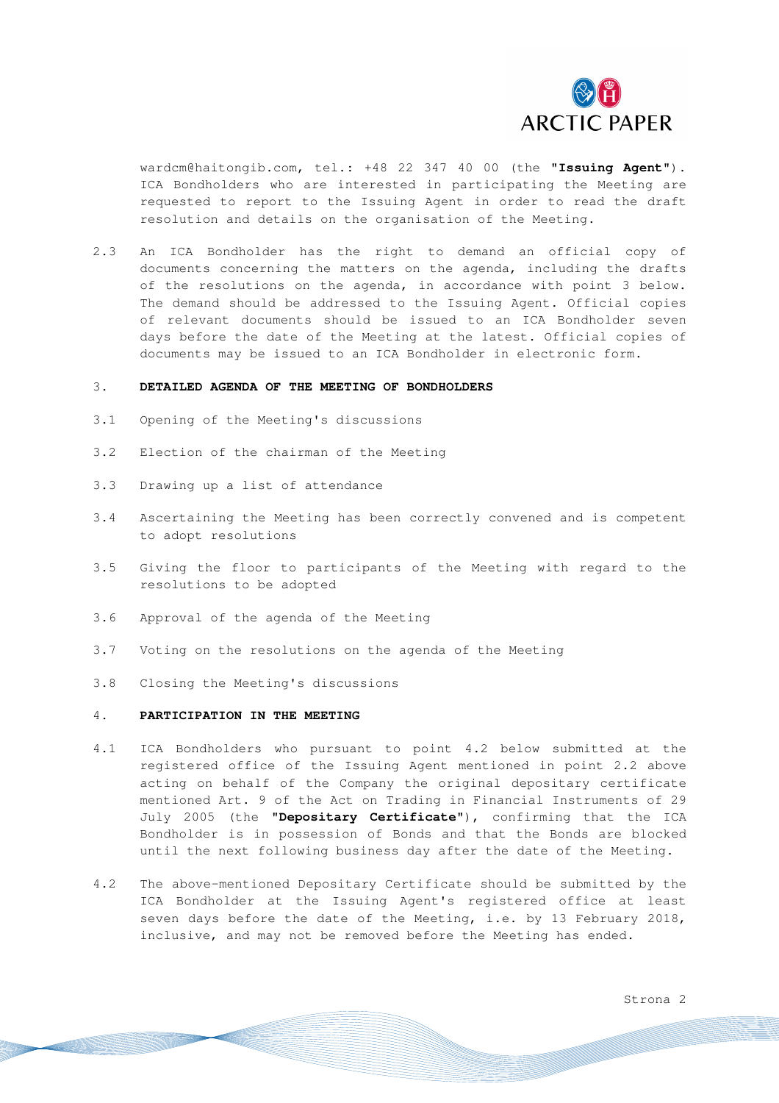

wardcm@haitongib.com, tel.: +48 22 347 40 00 (the "**Issuing Agent**"). ICA Bondholders who are interested in participating the Meeting are requested to report to the Issuing Agent in order to read the draft resolution and details on the organisation of the Meeting.

2.3 An ICA Bondholder has the right to demand an official copy of documents concerning the matters on the agenda, including the drafts of the resolutions on the agenda, in accordance with point 3 below. The demand should be addressed to the Issuing Agent. Official copies of relevant documents should be issued to an ICA Bondholder seven days before the date of the Meeting at the latest. Official copies of documents may be issued to an ICA Bondholder in electronic form.

#### 3. **DETAILED AGENDA OF THE MEETING OF BONDHOLDERS**

- 3.1 Opening of the Meeting's discussions
- 3.2 Election of the chairman of the Meeting
- 3.3 Drawing up a list of attendance
- 3.4 Ascertaining the Meeting has been correctly convened and is competent to adopt resolutions
- 3.5 Giving the floor to participants of the Meeting with regard to the resolutions to be adopted
- 3.6 Approval of the agenda of the Meeting
- 3.7 Voting on the resolutions on the agenda of the Meeting
- 3.8 Closing the Meeting's discussions

## 4. **PARTICIPATION IN THE MEETING**

- 4.1 ICA Bondholders who pursuant to point 4.2 below submitted at the registered office of the Issuing Agent mentioned in point 2.2 above acting on behalf of the Company the original depositary certificate mentioned Art. 9 of the Act on Trading in Financial Instruments of 29 July 2005 (the "**Depositary Certificate**"), confirming that the ICA Bondholder is in possession of Bonds and that the Bonds are blocked until the next following business day after the date of the Meeting.
- 4.2 The above-mentioned Depositary Certificate should be submitted by the ICA Bondholder at the Issuing Agent's registered office at least seven days before the date of the Meeting, i.e. by 13 February 2018, inclusive, and may not be removed before the Meeting has ended.

Strona 2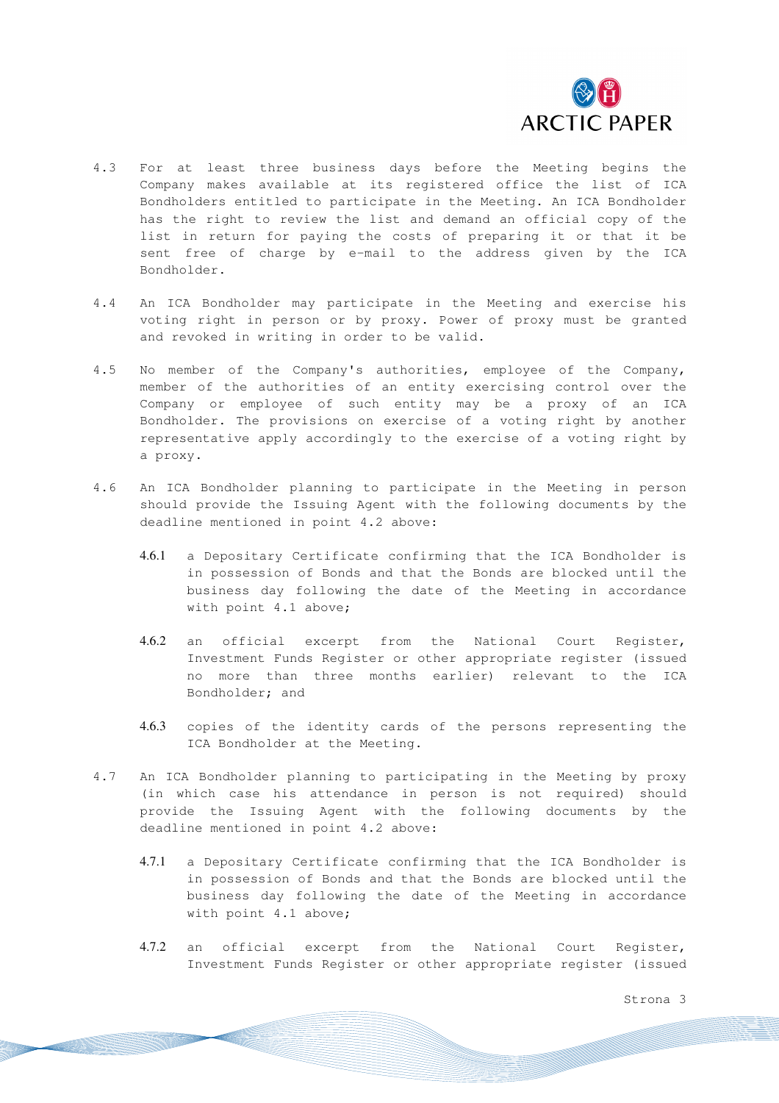

- 4.3 For at least three business days before the Meeting begins the Company makes available at its registered office the list of ICA Bondholders entitled to participate in the Meeting. An ICA Bondholder has the right to review the list and demand an official copy of the list in return for paying the costs of preparing it or that it be sent free of charge by e-mail to the address given by the ICA Bondholder.
- 4.4 An ICA Bondholder may participate in the Meeting and exercise his voting right in person or by proxy. Power of proxy must be granted and revoked in writing in order to be valid.
- 4.5 No member of the Company's authorities, employee of the Company, member of the authorities of an entity exercising control over the Company or employee of such entity may be a proxy of an ICA Bondholder. The provisions on exercise of a voting right by another representative apply accordingly to the exercise of a voting right by a proxy.
- 4.6 An ICA Bondholder planning to participate in the Meeting in person should provide the Issuing Agent with the following documents by the deadline mentioned in point 4.2 above:
	- 4.6.1 a Depositary Certificate confirming that the ICA Bondholder is in possession of Bonds and that the Bonds are blocked until the business day following the date of the Meeting in accordance with point 4.1 above;
	- 4.6.2 an official excerpt from the National Court Register, Investment Funds Register or other appropriate register (issued no more than three months earlier) relevant to the ICA Bondholder; and
	- 4.6.3 copies of the identity cards of the persons representing the ICA Bondholder at the Meeting.
- 4.7 An ICA Bondholder planning to participating in the Meeting by proxy (in which case his attendance in person is not required) should provide the Issuing Agent with the following documents by the deadline mentioned in point 4.2 above:
	- 4.7.1 a Depositary Certificate confirming that the ICA Bondholder is in possession of Bonds and that the Bonds are blocked until the business day following the date of the Meeting in accordance with point 4.1 above;
	- 4.7.2 an official excerpt from the National Court Register, Investment Funds Register or other appropriate register (issued

Strona 3